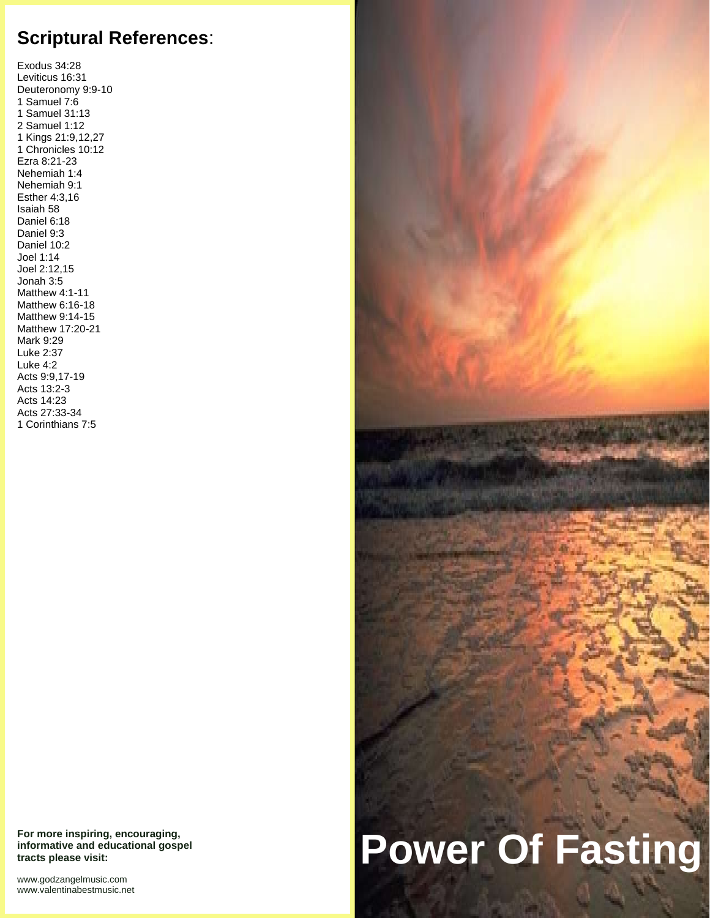# **Scriptural References**:

Exodus 34:28 Leviticus 16:31 Deuteronomy 9:9-10 1 Samuel 7:6 1 Samuel 31:13 2 Samuel 1:12 1 Kings 21:9,12,27 1 Chronicles 10:12 Ezra 8:21-23 Nehemiah 1:4 Nehemiah 9:1 Esther 4:3,16 Isaiah 58 Daniel 6:18 Daniel 9:3 Daniel 10:2 Joel 1:14 Joel 2:12,15 Jonah 3:5 Matthew 4:1-11 Matthew 6:16-18 Matthew 9:14-15 Matthew 17:20-21 Mark 9:29 Luke 2:37 Luke 4:2 Acts 9:9,17-19 Acts 13:2-3 Acts 14:23 Acts 27:33-34 1 Corinthians 7:5

**For more inspiring, encouraging, informative and educational gospel tracts please visit:**

<www.godzangelmusic.com> <www.valentinabestmusic.net>